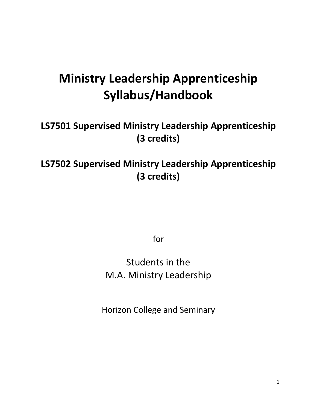# **Ministry Leadership Apprenticeship Syllabus/Handbook**

# **LS7501 Supervised Ministry Leadership Apprenticeship (3 credits)**

# **LS7502 Supervised Ministry Leadership Apprenticeship (3 credits)**

for

# Students in the M.A. Ministry Leadership

Horizon College and Seminary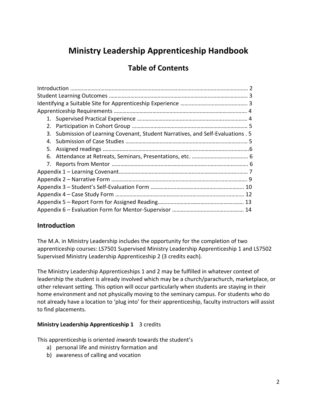# **Ministry Leadership Apprenticeship Handbook**

## **Table of Contents**

## **Introduction**

The M.A. in Ministry Leadership includes the opportunity for the completion of two apprenticeship courses: LS7501 Supervised Ministry Leadership Apprenticeship 1 and LS7502 Supervised Ministry Leadership Apprenticeship 2 (3 credits each).

The Ministry Leadership Apprenticeships 1 and 2 may be fulfilled in whatever context of leadership the student is already involved which may be a church/parachurch, marketplace, or other relevant setting. This option will occur particularly when students are staying in their home environment and not physically moving to the seminary campus. For students who do not already have a location to 'plug into' for their apprenticeship, faculty instructors will assist to find placements.

## **Ministry Leadership Apprenticeship 1** 3 credits

This apprenticeship is oriented *inwards* towards the student's

- a) personal life and ministry formation and
- b) awareness of calling and vocation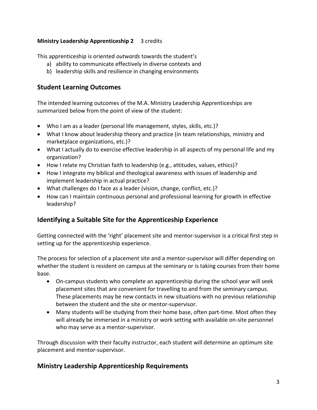## **Ministry Leadership Apprenticeship 2** 3 credits

This apprenticeship is oriented *outwards* towards the student's

- a) ability to communicate effectively in diverse contexts and
- b) leadership skills and resilience in changing environments

## **Student Learning Outcomes**

The intended learning outcomes of the M.A. Ministry Leadership Apprenticeships are summarized below from the point of view of the student:

- Who I am as a leader (personal life management, styles, skills, etc.)?
- What I know about leadership theory and practice (in team relationships, ministry and marketplace organizations, etc.)?
- What I actually do to exercise effective leadership in all aspects of my personal life and my organization?
- How I relate my Christian faith to leadership (e.g., attitudes, values, ethics)?
- How I integrate my biblical and theological awareness with issues of leadership and implement leadership in actual practice?
- What challenges do I face as a leader (vision, change, conflict, etc.)?
- How can I maintain continuous personal and professional learning for growth in effective leadership?

## **Identifying a Suitable Site for the Apprenticeship Experience**

Getting connected with the 'right' placement site and mentor-supervisor is a critical first step in setting up for the apprenticeship experience.

The process for selection of a placement site and a mentor-supervisor will differ depending on whether the student is resident on campus at the seminary or is taking courses from their home base.

- On-campus students who complete an apprenticeship during the school year will seek placement sites that are convenient for travelling to and from the seminary campus. These placements may be new contacts in new situations with no previous relationship between the student and the site or mentor-supervisor.
- Many students will be studying from their home base, often part-time. Most often they will already be immersed in a ministry or work setting with available on-site personnel who may serve as a mentor-supervisor.

Through discussion with their faculty instructor, each student will determine an optimum site placement and mentor-supervisor.

## **Ministry Leadership Apprenticeship Requirements**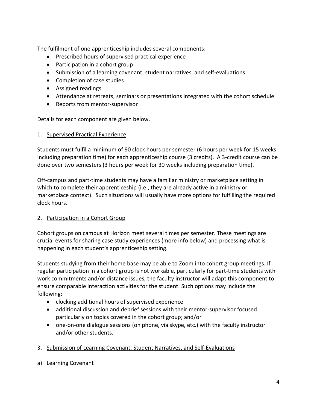The fulfilment of one apprenticeship includes several components:

- Prescribed hours of supervised practical experience
- Participation in a cohort group
- Submission of a learning covenant, student narratives, and self-evaluations
- Completion of case studies
- Assigned readings
- Attendance at retreats, seminars or presentations integrated with the cohort schedule
- Reports from mentor-supervisor

Details for each component are given below.

#### 1. Supervised Practical Experience

Students must fulfil a minimum of 90 clock hours per semester (6 hours per week for 15 weeks including preparation time) for each apprenticeship course (3 credits). A 3-credit course can be done over two semesters (3 hours per week for 30 weeks including preparation time).

Off-campus and part-time students may have a familiar ministry or marketplace setting in which to complete their apprenticeship (i.e., they are already active in a ministry or marketplace context). Such situations will usually have more options for fulfilling the required clock hours.

### 2. Participation in a Cohort Group

Cohort groups on campus at Horizon meet several times per semester. These meetings are crucial events for sharing case study experiences (more info below) and processing what is happening in each student's apprenticeship setting.

Students studying from their home base may be able to Zoom into cohort group meetings. If regular participation in a cohort group is not workable, particularly for part-time students with work commitments and/or distance issues, the faculty instructor will adapt this component to ensure comparable interaction activities for the student. Such options may include the following:

- clocking additional hours of supervised experience
- additional discussion and debrief sessions with their mentor-supervisor focused particularly on topics covered in the cohort group; and/or
- one-on-one dialogue sessions (on phone, via skype, etc.) with the faculty instructor and/or other students.
- 3. Submission of Learning Covenant, Student Narratives, and Self-Evaluations
- a) Learning Covenant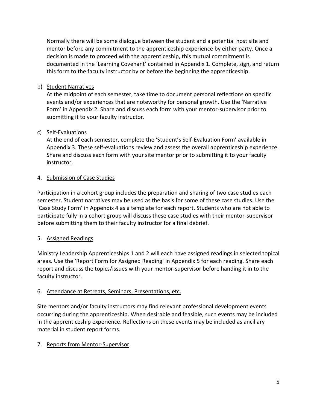Normally there will be some dialogue between the student and a potential host site and mentor before any commitment to the apprenticeship experience by either party. Once a decision is made to proceed with the apprenticeship, this mutual commitment is documented in the 'Learning Covenant' contained in Appendix 1. Complete, sign, and return this form to the faculty instructor by or before the beginning the apprenticeship.

## b) Student Narratives

At the midpoint of each semester, take time to document personal reflections on specific events and/or experiences that are noteworthy for personal growth. Use the 'Narrative Form' in Appendix 2. Share and discuss each form with your mentor-supervisor prior to submitting it to your faculty instructor.

### c) Self-Evaluations

At the end of each semester, complete the 'Student's Self-Evaluation Form' available in Appendix 3. These self-evaluations review and assess the overall apprenticeship experience. Share and discuss each form with your site mentor prior to submitting it to your faculty instructor.

## 4. Submission of Case Studies

Participation in a cohort group includes the preparation and sharing of two case studies each semester. Student narratives may be used as the basis for some of these case studies. Use the 'Case Study Form' in Appendix 4 as a template for each report. Students who are not able to participate fully in a cohort group will discuss these case studies with their mentor-supervisor before submitting them to their faculty instructor for a final debrief.

## 5. Assigned Readings

Ministry Leadership Apprenticeships 1 and 2 will each have assigned readings in selected topical areas. Use the 'Report Form for Assigned Reading' in Appendix 5 for each reading. Share each report and discuss the topics/issues with your mentor-supervisor before handing it in to the faculty instructor.

### 6. Attendance at Retreats, Seminars, Presentations, etc.

Site mentors and/or faculty instructors may find relevant professional development events occurring during the apprenticeship. When desirable and feasible, such events may be included in the apprenticeship experience. Reflections on these events may be included as ancillary material in student report forms.

### 7. Reports from Mentor-Supervisor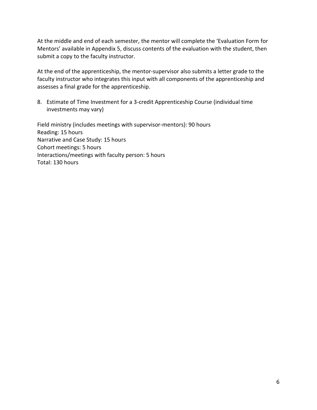At the middle and end of each semester, the mentor will complete the 'Evaluation Form for Mentors' available in Appendix 5, discuss contents of the evaluation with the student, then submit a copy to the faculty instructor.

At the end of the apprenticeship, the mentor-supervisor also submits a letter grade to the faculty instructor who integrates this input with all components of the apprenticeship and assesses a final grade for the apprenticeship.

8. Estimate of Time Investment for a 3-credit Apprenticeship Course (individual time investments may vary)

Field ministry (includes meetings with supervisor-mentors): 90 hours Reading: 15 hours Narrative and Case Study: 15 hours Cohort meetings: 5 hours Interactions/meetings with faculty person: 5 hours Total: 130 hours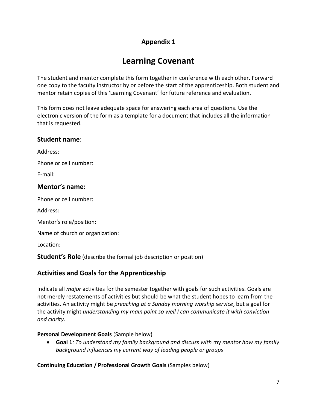# **Learning Covenant**

The student and mentor complete this form together in conference with each other. Forward one copy to the faculty instructor by or before the start of the apprenticeship. Both student and mentor retain copies of this 'Learning Covenant' for future reference and evaluation.

This form does not leave adequate space for answering each area of questions. Use the electronic version of the form as a template for a document that includes all the information that is requested.

## **Student name**:

Address:

Phone or cell number:

E-mail:

## **Mentor's name:**

Phone or cell number:

Address:

Mentor's role/position:

Name of church or organization:

Location:

**Student's Role** (describe the formal job description or position)

## **Activities and Goals for the Apprenticeship**

Indicate all *major* activities for the semester together with goals for such activities. Goals are not merely restatements of activities but should be what the student hopes to learn from the activities. An activity might be *preaching at a Sunday morning worship service*, but a goal for the activity might *understanding my main point so well I can communicate it with conviction and clarity.*

## **Personal Development Goals** (Sample below)

• **Goal 1***: To understand my family background and discuss with* my *mentor how my family background influences my current way of leading people or groups*

**Continuing Education / Professional Growth Goals** (Samples below)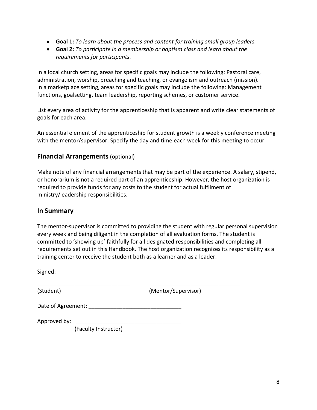- **Goal 1:** *To learn about the process and content for training small group leaders.*
- **Goal 2:** *To participate in a membership or baptism class and learn about the requirements for participants.*

In a local church setting, areas for specific goals may include the following: Pastoral care, administration, worship, preaching and teaching, or evangelism and outreach (mission). In a marketplace setting, areas for specific goals may include the following: Management functions, goalsetting, team leadership, reporting schemes, or customer service.

List every area of activity for the apprenticeship that is apparent and write clear statements of goals for each area.

An essential element of the apprenticeship for student growth is a weekly conference meeting with the mentor/supervisor. Specify the day and time each week for this meeting to occur.

## **Financial Arrangements**(optional)

Make note of any financial arrangements that may be part of the experience. A salary, stipend, or honorarium is not a required part of an apprenticeship. However, the host organization is required to provide funds for any costs to the student for actual fulfilment of ministry/leadership responsibilities.

## **In Summary**

The mentor-supervisor is committed to providing the student with regular personal supervision every week and being diligent in the completion of all evaluation forms. The student is committed to 'showing up' faithfully for all designated responsibilities and completing all requirements set out in this Handbook. The host organization recognizes its responsibility as a training center to receive the student both as a learner and as a leader.

\_\_\_\_\_\_\_\_\_\_\_\_\_\_\_\_\_\_\_\_\_\_\_\_\_\_\_\_\_\_ \_\_\_\_\_\_\_\_\_\_\_\_\_\_\_\_\_\_\_\_\_\_\_\_\_\_\_\_\_

Signed:

(Student) (Mentor/Supervisor)

Date of Agreement: **Example 20** and 20 and 20 and 20 and 20 and 20 and 20 and 20 and 20 and 20 and 20 and 20 and 20 and 20 and 20 and 20 and 20 and 20 and 20 and 20 and 20 and 20 and 20 and 20 and 20 and 20 and 20 and 20 a

Approved by:

(Faculty Instructor)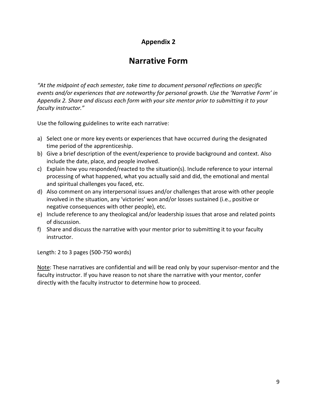## **Narrative Form**

*"At the midpoint of each semester, take time to document personal reflections on specific events and/or experiences that are noteworthy for personal growth. Use the 'Narrative Form' in Appendix 2. Share and discuss each form with your site mentor prior to submitting it to your faculty instructor."* 

Use the following guidelines to write each narrative:

- a) Select one or more key events or experiences that have occurred during the designated time period of the apprenticeship.
- b) Give a brief description of the event/experience to provide background and context. Also include the date, place, and people involved.
- c) Explain how you responded/reacted to the situation(s). Include reference to your internal processing of what happened, what you actually said and did, the emotional and mental and spiritual challenges you faced, etc.
- d) Also comment on any interpersonal issues and/or challenges that arose with other people involved in the situation, any 'victories' won and/or losses sustained (i.e., positive or negative consequences with other people), etc.
- e) Include reference to any theological and/or leadership issues that arose and related points of discussion.
- f) Share and discuss the narrative with your mentor prior to submitting it to your faculty instructor.

Length: 2 to 3 pages (500-750 words)

Note: These narratives are confidential and will be read only by your supervisor-mentor and the faculty instructor. If you have reason to not share the narrative with your mentor, confer directly with the faculty instructor to determine how to proceed.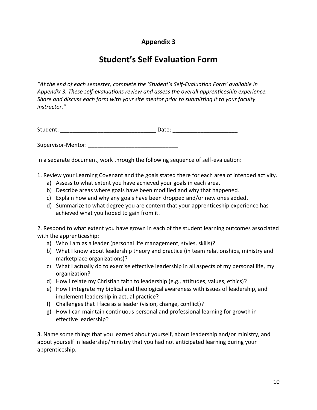# **Student's Self Evaluation Form**

*"At the end of each semester, complete the 'Student's Self-Evaluation Form' available in*  Appendix 3. These self-evaluations review and assess the overall apprenticeship experience. *Share and discuss each form with your site mentor prior to submitting it to your faculty instructor."*

Student: \_\_\_\_\_\_\_\_\_\_\_\_\_\_\_\_\_\_\_\_\_\_\_\_\_\_\_\_\_\_\_ Date: \_\_\_\_\_\_\_\_\_\_\_\_\_\_\_\_\_\_\_\_\_

Supervisor-Mentor: \_\_\_\_\_\_\_\_\_\_\_\_\_\_\_\_\_\_\_\_\_\_\_\_\_\_\_\_\_

In a separate document, work through the following sequence of self-evaluation:

1. Review your Learning Covenant and the goals stated there for each area of intended activity.

- a) Assess to what extent you have achieved your goals in each area.
- b) Describe areas where goals have been modified and why that happened.
- c) Explain how and why any goals have been dropped and/or new ones added.
- d) Summarize to what degree you are content that your apprenticeship experience has achieved what you hoped to gain from it.

2. Respond to what extent you have grown in each of the student learning outcomes associated with the apprenticeship:

- a) Who I am as a leader (personal life management, styles, skills)?
- b) What I know about leadership theory and practice (in team relationships, ministry and marketplace organizations)?
- c) What I actually do to exercise effective leadership in all aspects of my personal life, my organization?
- d) How I relate my Christian faith to leadership (e.g., attitudes, values, ethics)?
- e) How I integrate my biblical and theological awareness with issues of leadership, and implement leadership in actual practice?
- f) Challenges that I face as a leader (vision, change, conflict)?
- g) How I can maintain continuous personal and professional learning for growth in effective leadership?

3. Name some things that you learned about yourself, about leadership and/or ministry, and about yourself in leadership/ministry that you had not anticipated learning during your apprenticeship.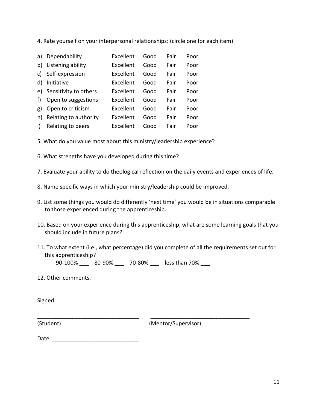4. Rate yourself on your interpersonal relationships: (circle one for each item)

| a) | Dependability         | Excellent | Good | Fair | Poor |
|----|-----------------------|-----------|------|------|------|
| b) | Listening ability     | Excellent | Good | Fair | Poor |
| c) | Self-expression       | Excellent | Good | Fair | Poor |
| d) | Initiative            | Excellent | Good | Fair | Poor |
| e) | Sensitivity to others | Excellent | Good | Fair | Poor |
| f) | Open to suggestions   | Excellent | Good | Fair | Poor |
| g) | Open to criticism     | Excellent | Good | Fair | Poor |
| h) | Relating to authority | Excellent | Good | Fair | Poor |
| i) | Relating to peers     | Excellent | Good | Fair | Poor |

5. What do you value most about this ministry/leadership experience?

6. What strengths have you developed during this time?

7. Evaluate your ability to do theological reflection on the daily events and experiences of life.

8. Name specific ways in which your ministry/leadership could be improved.

- 9. List some things you would do differently 'next time' you would be in situations comparable to those experienced during the apprenticeship.
- 10. Based on your experience during this apprenticeship, what are some learning goals that you should include in future plans?
- 11. To what extent (i.e., what percentage) did you complete of all the requirements set out for this apprenticeship?

90-100% \_\_\_ 80-90% \_\_ 70-80% \_\_ less than 70% \_\_\_

\_\_\_\_\_\_\_\_\_\_\_\_\_\_\_\_\_\_\_\_\_\_\_\_\_\_\_\_\_\_\_\_\_ \_\_\_\_\_\_\_\_\_\_\_\_\_\_\_\_\_\_\_\_\_\_\_\_\_\_\_\_\_\_\_\_

12. Other comments.

Signed:

(Student) (Mentor/Supervisor)

| Date: |  |  |
|-------|--|--|
|       |  |  |
|       |  |  |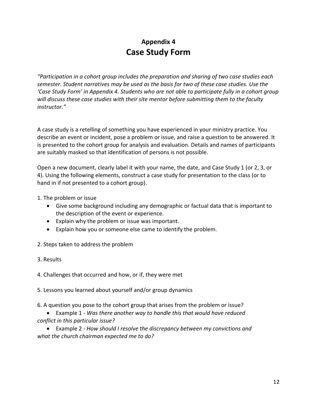## **Appendix 4 Case Study Form**

*"Participation in a cohort group includes the preparation and sharing of two case studies each semester. Student narratives may be used as the basis for two of these case studies. Use the 'Case Study Form' in Appendix 4. Students who are not able to participate fully in a cohort group will discuss these case studies with their site mentor before submitting them to the faculty instructor."*

A case study is a retelling of something you have experienced in your ministry practice. You describe an event or incident, pose a problem or issue, and raise a question to be answered. It is presented to the cohort group for analysis and evaluation. Details and names of participants are suitably masked so that identification of persons is not possible.

Open a new document, clearly label it with your name, the date, and Case Study 1 (or 2, 3, or 4). Using the following elements, construct a case study for presentation to the class (or to hand in if not presented to a cohort group).

- 1. The problem or issue
	- Give some background including any demographic or factual data that is important to the description of the event or experience.
	- Explain why the problem or issue was important.
	- Explain how you or someone else came to identify the problem.
- 2. Steps taken to address the problem
- 3. Results

4. Challenges that occurred and how, or if, they were met

- 5. Lessons you learned about yourself and/or group dynamics
- 6. A question you pose to the cohort group that arises from the problem or issue?
- Example 1 *Was there another way to handle this that would have reduced conflict in this particular issue?*
- Example 2 *How should I resolve the discrepancy between my convictions and what the church chairman expected me to do?*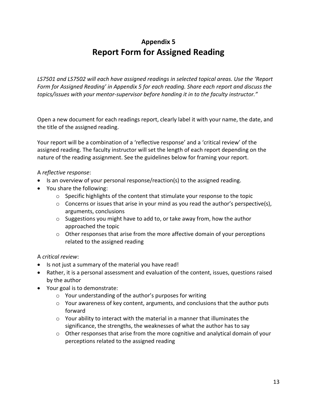# **Appendix 5 Report Form for Assigned Reading**

*LS7501 and LS7502 will each have assigned readings in selected topical areas. Use the 'Report Form for Assigned Reading' in Appendix 5 for each reading. Share each report and discuss the topics/issues with your mentor-supervisor before handing it in to the faculty instructor."*

Open a new document for each readings report, clearly label it with your name, the date, and the title of the assigned reading.

Your report will be a combination of a 'reflective response' and a 'critical review' of the assigned reading. The faculty instructor will set the length of each report depending on the nature of the reading assignment. See the guidelines below for framing your report.

### A *reflective response*:

- Is an overview of your personal response/reaction(s) to the assigned reading.
- You share the following:
	- o Specific highlights of the content that stimulate your response to the topic
	- $\circ$  Concerns or issues that arise in your mind as you read the author's perspective(s), arguments, conclusions
	- o Suggestions you might have to add to, or take away from, how the author approached the topic
	- $\circ$  Other responses that arise from the more affective domain of your perceptions related to the assigned reading

## A *critical review*:

- Is not just a summary of the material you have read!
- Rather, it is a personal assessment and evaluation of the content, issues, questions raised by the author
- Your goal is to demonstrate:
	- o Your understanding of the author's purposes for writing
	- $\circ$  Your awareness of key content, arguments, and conclusions that the author puts forward
	- o Your ability to interact with the material in a manner that illuminates the significance, the strengths, the weaknesses of what the author has to say
	- $\circ$  Other responses that arise from the more cognitive and analytical domain of your perceptions related to the assigned reading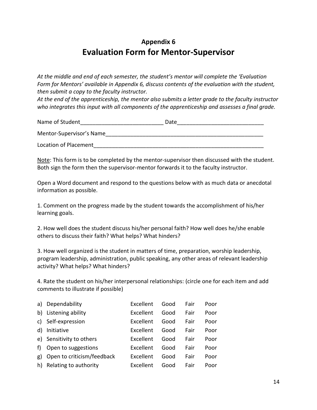## **Evaluation Form for Mentor-Supervisor**

*At the middle and end of each semester, the student's mentor will complete the 'Evaluation Form for Mentors' available in Appendix 6, discuss contents of the evaluation with the student, then submit a copy to the faculty instructor.*

*At the end of the apprenticeship, the mentor also submits a letter grade to the faculty instructor who integrates this input with all components of the apprenticeship and assesses a final grade.*

| Name of Student          | Date |
|--------------------------|------|
| Mentor-Supervisor's Name |      |
| Location of Placement    |      |

Note: This form is to be completed by the mentor-supervisor then discussed with the student. Both sign the form then the supervisor-mentor forwards it to the faculty instructor.

Open a Word document and respond to the questions below with as much data or anecdotal information as possible.

1. Comment on the progress made by the student towards the accomplishment of his/her learning goals.

2. How well does the student discuss his/her personal faith? How well does he/she enable others to discuss their faith? What helps? What hinders?

3. How well organized is the student in matters of time, preparation, worship leadership, program leadership, administration, public speaking, any other areas of relevant leadership activity? What helps? What hinders?

4. Rate the student on his/her interpersonal relationships: (circle one for each item and add comments to illustrate if possible)

| a) | Dependability              | Excellent | Good | Fair | Poor |
|----|----------------------------|-----------|------|------|------|
| b) | Listening ability          | Excellent | Good | Fair | Poor |
| C) | Self-expression            | Excellent | Good | Fair | Poor |
| d) | Initiative                 | Excellent | Good | Fair | Poor |
| e) | Sensitivity to others      | Excellent | Good | Fair | Poor |
| f) | Open to suggestions        | Excellent | Good | Fair | Poor |
| g) | Open to criticism/feedback | Excellent | Good | Fair | Poor |
| h) | Relating to authority      | Excellent | Good | Fair | Poor |